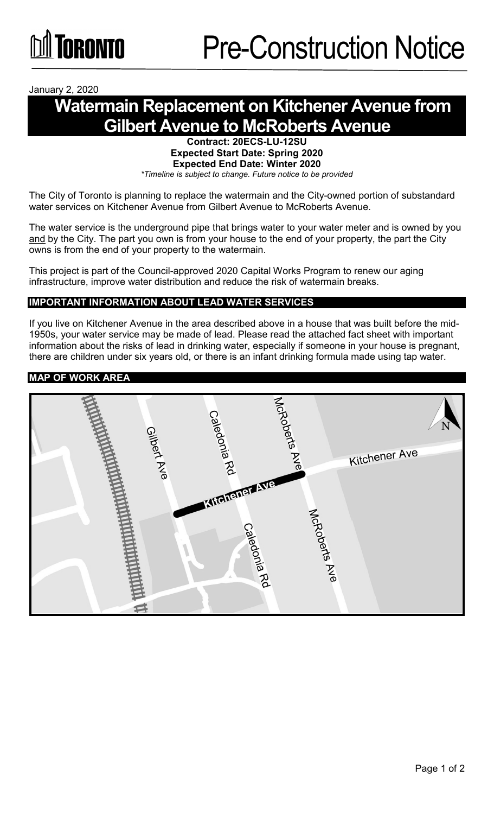January 2, 2020

# **Watermain Replacement on Kitchener Avenue from Gilbert Avenue to McRoberts Avenue**

**Contract: 20ECS-LU-12SU Expected Start Date: Spring 2020 Expected End Date: Winter 2020** *\*Timeline is subject to change. Future notice to be provided*

The City of Toronto is planning to replace the watermain and the City-owned portion of substandard water services on Kitchener Avenue from Gilbert Avenue to McRoberts Avenue.

The water service is the underground pipe that brings water to your water meter and is owned by you and by the City. The part you own is from your house to the end of your property, the part the City owns is from the end of your property to the watermain.

This project is part of the Council-approved 2020 Capital Works Program to renew our aging infrastructure, improve water distribution and reduce the risk of watermain breaks.

## **IMPORTANT INFORMATION ABOUT LEAD WATER SERVICES**

If you live on Kitchener Avenue in the area described above in a house that was built before the mid-1950s, your water service may be made of lead. Please read the attached fact sheet with important information about the risks of lead in drinking water, especially if someone in your house is pregnant, there are children under six years old, or there is an infant drinking formula made using tap water.

#### **MAP OF WORK AREA**